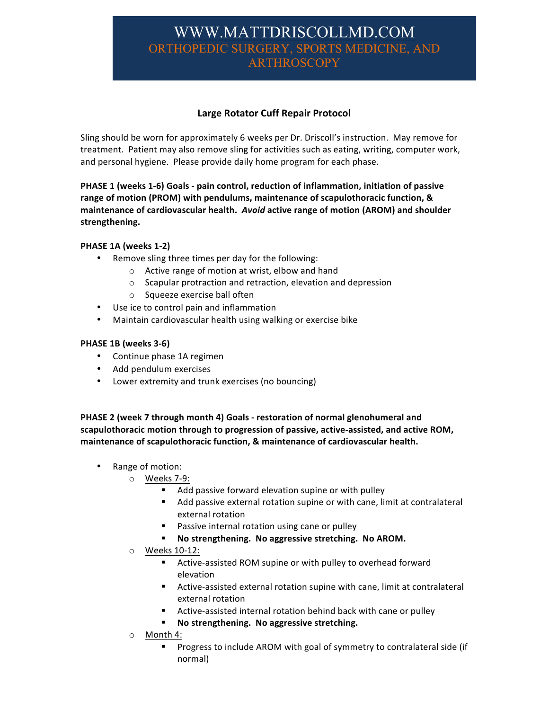# WWW.MATTDRISCOLLMD.COM ORTHOPEDIC SURGERY, SPORTS MEDICINE, ARTHROSCOPY

## **Large Rotator Cuff Repair Protocol**

Sling should be worn for approximately 6 weeks per Dr. Driscoll's instruction. May remove for treatment. Patient may also remove sling for activities such as eating, writing, computer work, and personal hygiene. Please provide daily home program for each phase.

**PHASE 1 (weeks 1-6) Goals - pain control, reduction of inflammation, initiation of passive** range of motion (PROM) with pendulums, maintenance of scapulothoracic function, & **maintenance of cardiovascular health. Avoid active range of motion (AROM) and shoulder strengthening.**

#### **PHASE 1A (weeks 1-2)**

- Remove sling three times per day for the following:
	- $\circ$  Active range of motion at wrist, elbow and hand
	- $\circ$  Scapular protraction and retraction, elevation and depression
	- o Squeeze exercise ball often
- Use ice to control pain and inflammation
- Maintain cardiovascular health using walking or exercise bike

#### **PHASE 1B (weeks 3-6)**

- Continue phase 1A regimen
- Add pendulum exercises
- Lower extremity and trunk exercises (no bouncing)

**PHASE 2** (week 7 through month 4) Goals - restoration of normal glenohumeral and scapulothoracic motion through to progression of passive, active-assisted, and active ROM, maintenance of scapulothoracic function, & maintenance of cardiovascular health.

- Range of motion:
	- o Weeks 7-9:
		- Add passive forward elevation supine or with pulley
		- Add passive external rotation supine or with cane, limit at contralateral external rotation
		- Passive internal rotation using cane or pulley
		- **EXECT:** No strengthening. No aggressive stretching. No AROM.
	- o Weeks 10-12:
		- Active-assisted ROM supine or with pulley to overhead forward elevation
		- Active-assisted external rotation supine with cane, limit at contralateral external rotation
		- Active-assisted internal rotation behind back with cane or pulley
		- **EXECT:** No strengthening. No aggressive stretching.
	- o Month 4:
		- Progress to include AROM with goal of symmetry to contralateral side (if normal)